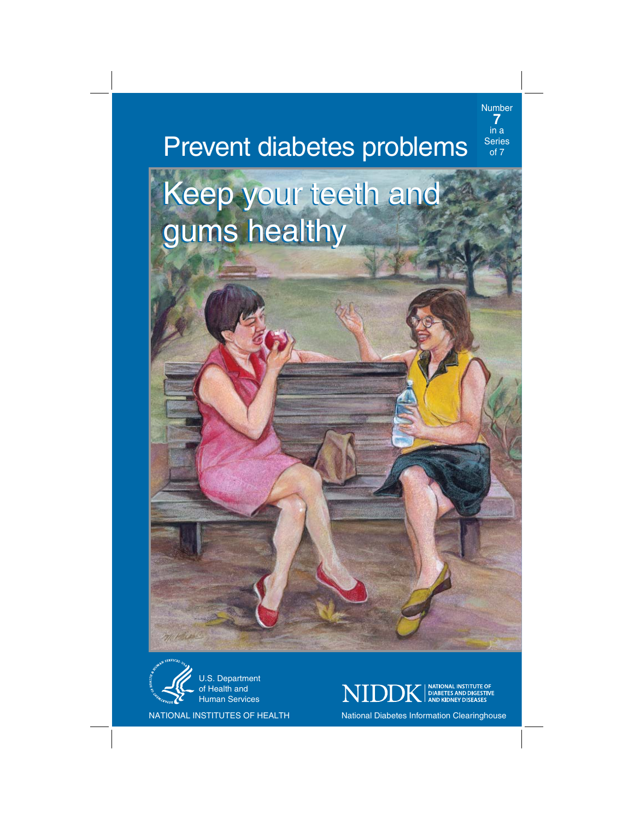#### Prevent diabetes problems Number **7** in a Series of 7

# Keep your teeth and Keep your teeth and gums healthy gums healthy



m Kile

U.S. Department of Health and Human Services



NATIONAL INSTITUTES OF HEALTH National Diabetes Information Clearinghouse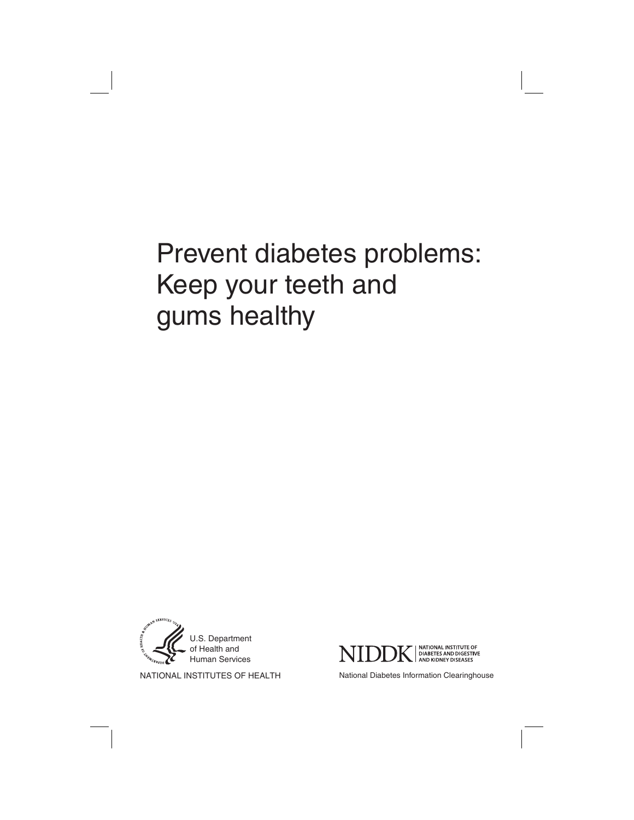## Prevent diabetes problems: Keep your teeth and gums healthy



NATIONAL INSTITUTE OF NATIONAL INSTITUTE OF<br>DIABETES AND DIGESTIVE<br>AND KIDNEY DISEASES

NATIONAL INSTITUTES OF HEALTH National Diabetes Information Clearinghouse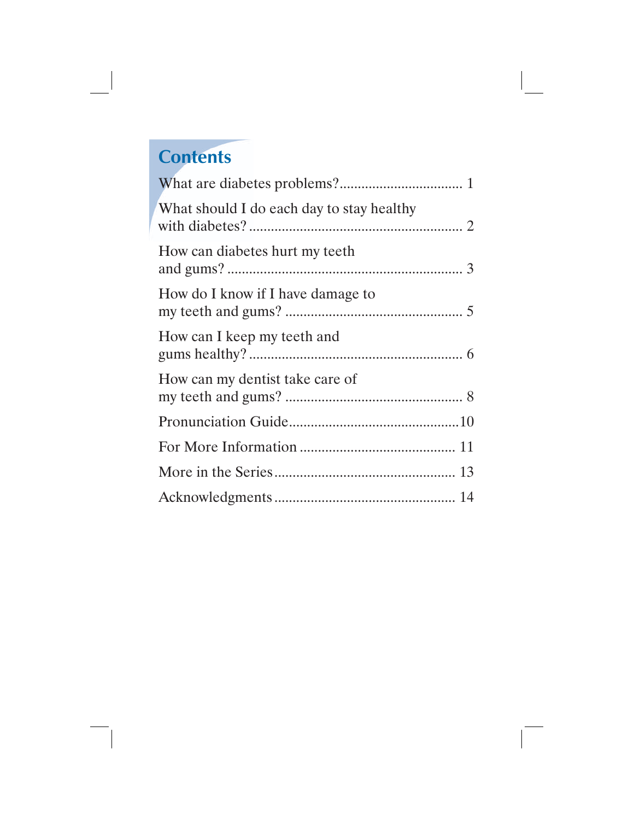## **Contents**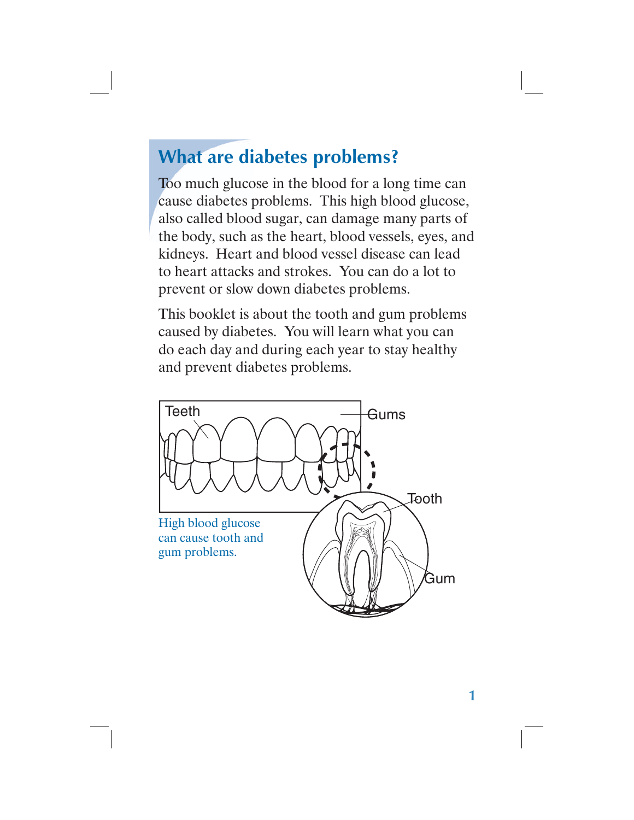## **What are diabetes problems?**

Too much glucose in the blood for a long time can cause diabetes problems. This high blood glucose, also called blood sugar, can damage many parts of the body, such as the heart, blood vessels, eyes, and kidneys. Heart and blood vessel disease can lead to heart attacks and strokes. You can do a lot to prevent or slow down diabetes problems.

This booklet is about the tooth and gum problems caused by diabetes. You will learn what you can do each day and during each year to stay healthy and prevent diabetes problems.

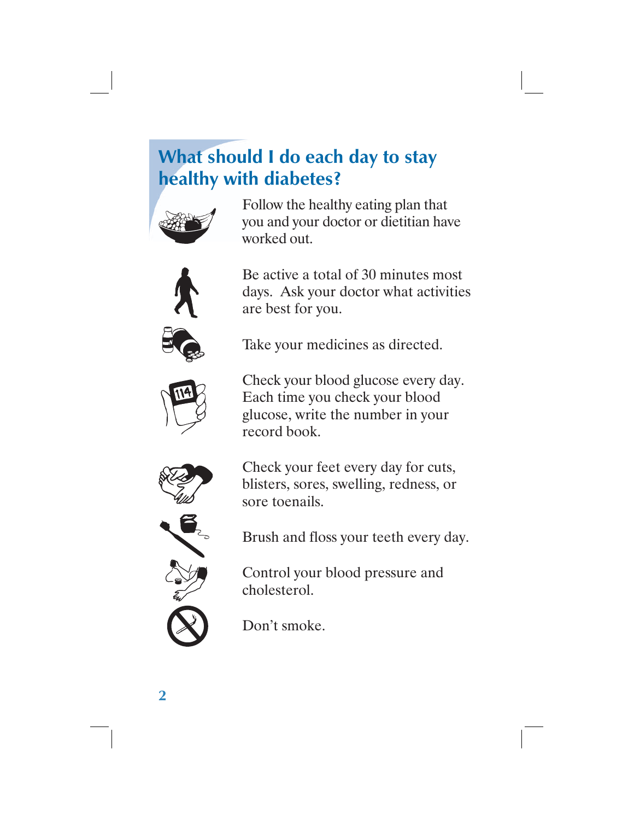## **What should I do each day to stay healthy with diabetes?**



Follow the healthy eating plan that you and your doctor or dietitian have worked out.



Be active a total of 30 minutes most days. Ask your doctor what activities are best for you.

Take your medicines as directed.



Check your blood glucose every day. Each time you check your blood glucose, write the number in your record book.



Check your feet every day for cuts, blisters, sores, swelling, redness, or sore toenails.



Brush and floss your teeth every day.

Control your blood pressure and cholesterol.

Don't smoke.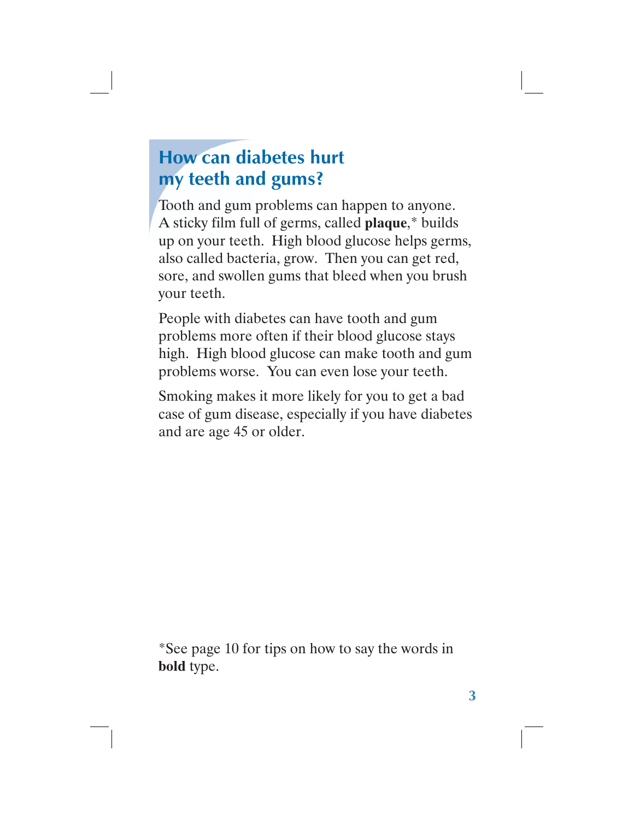### **How can diabetes hurt my teeth and gums?**

Tooth and gum problems can happen to anyone. A sticky film full of germs, called **plaque**,\* builds up on your teeth. High blood glucose helps germs, also called bacteria, grow. Then you can get red, sore, and swollen gums that bleed when you brush your teeth.

People with diabetes can have tooth and gum problems more often if their blood glucose stays high. High blood glucose can make tooth and gum problems worse. You can even lose your teeth.

Smoking makes it more likely for you to get a bad case of gum disease, especially if you have diabetes and are age 45 or older.

\*See page 10 for tips on how to say the words in **bold** type.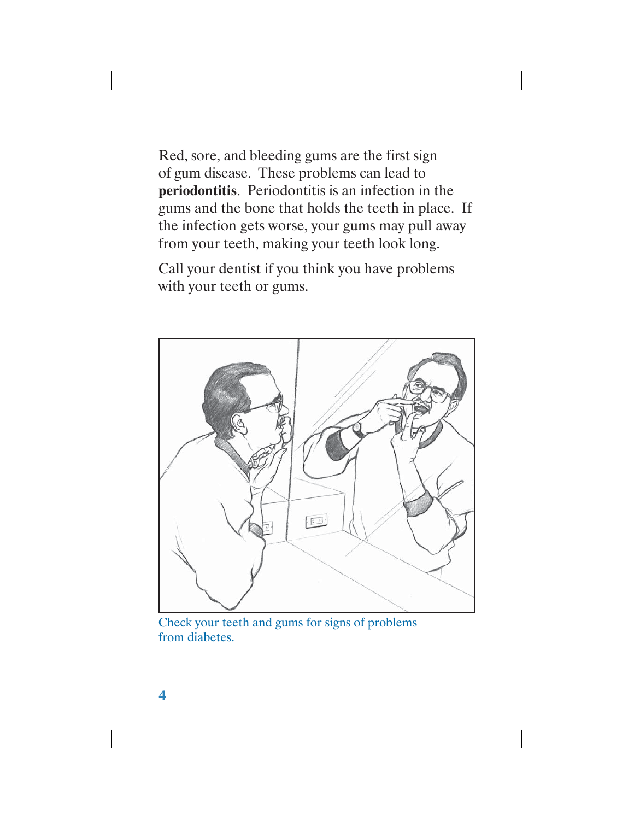Red, sore, and bleeding gums are the first sign of gum disease. These problems can lead to **periodontitis**. Periodontitis is an infection in the gums and the bone that holds the teeth in place. If the infection gets worse, your gums may pull away from your teeth, making your teeth look long.

Call your dentist if you think you have problems with your teeth or gums.



Check your teeth and gums for signs of problems from diabetes.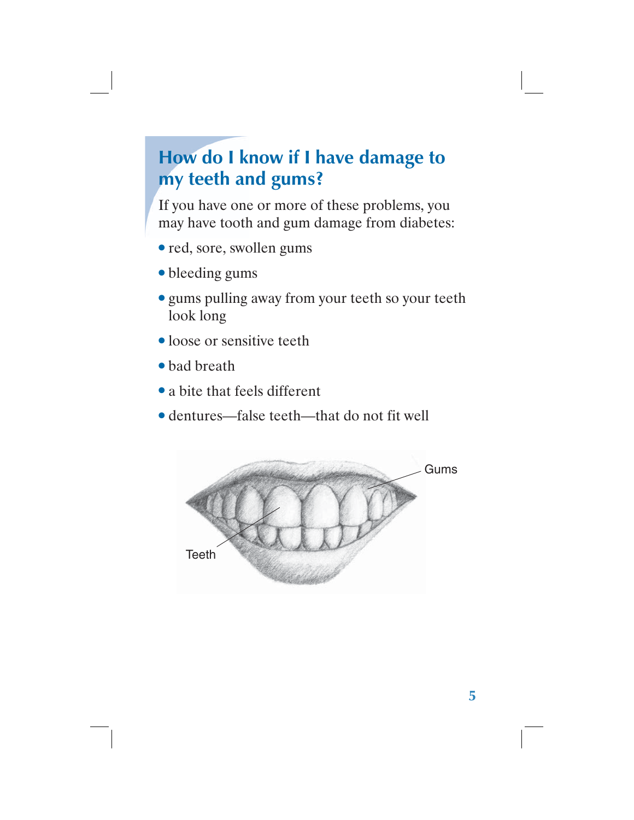## **How do I know if I have damage to my teeth and gums?**

If you have one or more of these problems, you may have tooth and gum damage from diabetes:

- red, sore, swollen gums
- bleeding gums
- gums pulling away from your teeth so your teeth look long
- loose or sensitive teeth
- bad breath
- a bite that feels different
- dentures—false teeth—that do not fit well

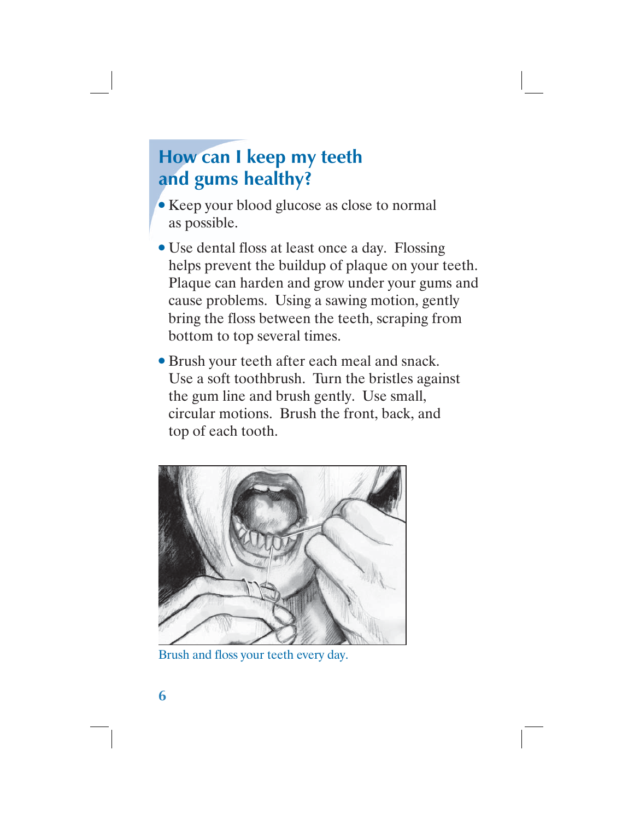#### **How can I keep my teeth and gums healthy?**

- Keep your blood glucose as close to normal as possible.
- Use dental floss at least once a day. Flossing helps prevent the buildup of plaque on your teeth. Plaque can harden and grow under your gums and cause problems. Using a sawing motion, gently bring the floss between the teeth, scraping from bottom to top several times.
- Brush your teeth after each meal and snack. Use a soft toothbrush. Turn the bristles against the gum line and brush gently. Use small, circular motions. Brush the front, back, and top of each tooth.



Brush and floss your teeth every day.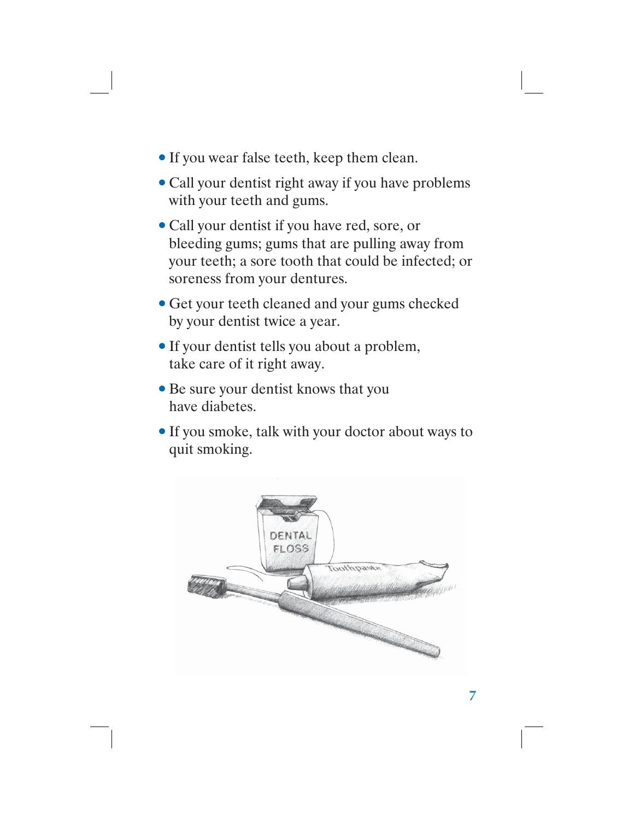- If you wear false teeth, keep them clean.
- Call your dentist right away if you have problems with your teeth and gums.
- Call your dentist if you have red, sore, or bleeding gums; gums that are pulling away from your teeth; a sore tooth that could be infected; or soreness from your dentures.
- Get your teeth cleaned and your gums checked by your dentist twice a year.
- If your dentist tells you about a problem, take care of it right away.
- Be sure your dentist knows that you have diabetes.
- If you smoke, talk with your doctor about ways to quit smoking.

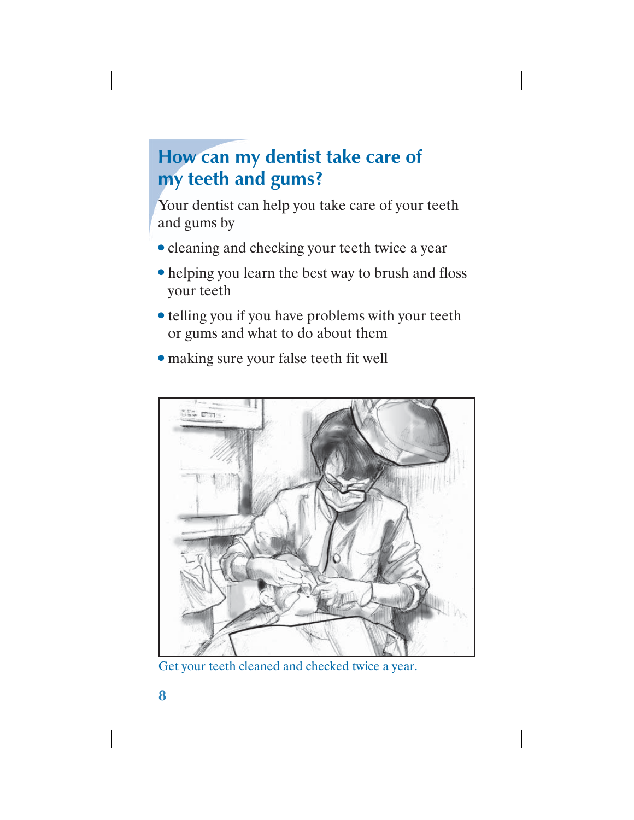### **How can my dentist take care of my teeth and gums?**

Your dentist can help you take care of your teeth and gums by

- cleaning and checking your teeth twice a year
- helping you learn the best way to brush and floss your teeth
- telling you if you have problems with your teeth or gums and what to do about them
- making sure your false teeth fit well



Get your teeth cleaned and checked twice a year.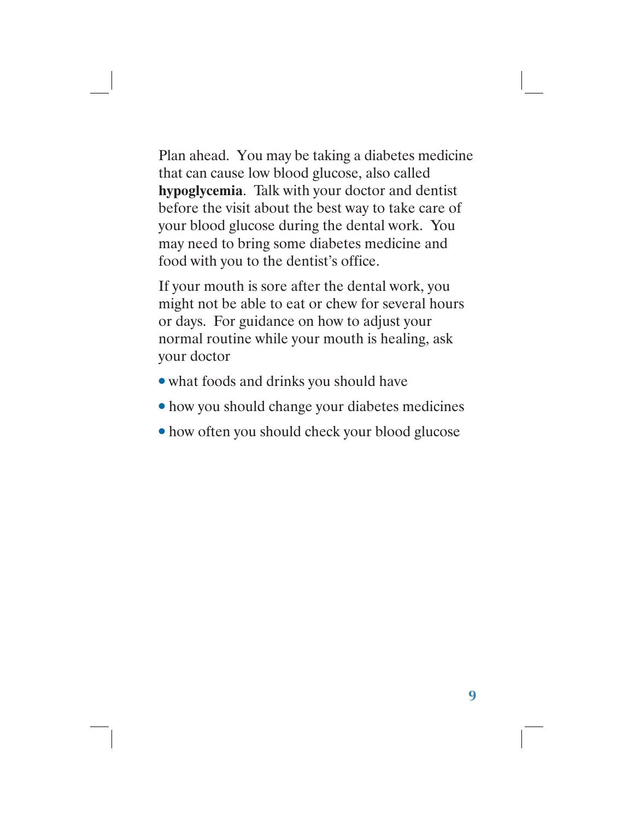Plan ahead. You may be taking a diabetes medicine that can cause low blood glucose, also called **hypoglycemia**. Talk with your doctor and dentist before the visit about the best way to take care of your blood glucose during the dental work. You may need to bring some diabetes medicine and food with you to the dentist's office.

If your mouth is sore after the dental work, you might not be able to eat or chew for several hours or days. For guidance on how to adjust your normal routine while your mouth is healing, ask your doctor

- what foods and drinks you should have
- how you should change your diabetes medicines
- how often you should check your blood glucose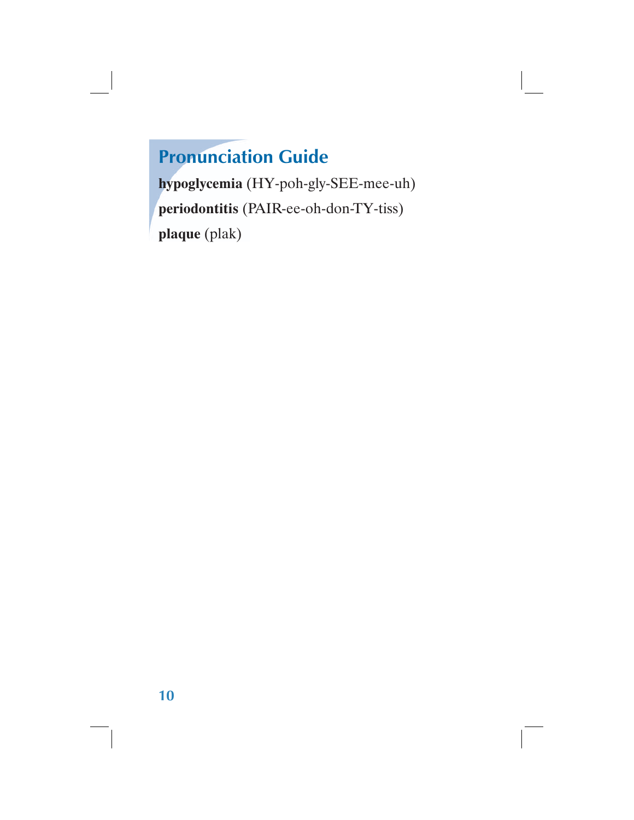## <span id="page-13-0"></span>**Pronunciation Guide**

**hypoglycemia** (HY-poh-gly-SEE-mee-uh) **periodontitis** (PAIR-ee-oh-don-TY-tiss) **plaque** (plak)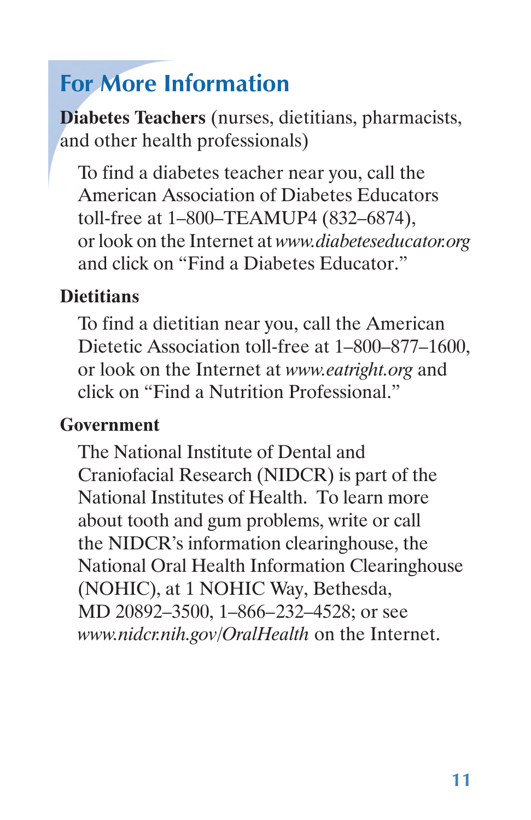### **For More Information**

**Diabetes Teachers** (nurses, dietitians, pharmacists, and other health professionals)

To find a diabetes teacher near you, call the American Association of Diabetes Educators toll-free at 1–800–TEAMUP4 (832–6874), or look on the Internet at *www.diabeteseducator.org*  and click on "Find a Diabetes Educator."

#### **Dietitians**

To find a dietitian near you, call the American Dietetic Association toll-free at 1–800–877–1600, or look on the Internet at *www.eatright.org* and click on "Find a Nutrition Professional."

#### **Government**

The National Institute of Dental and Craniofacial Research (NIDCR) is part of the National Institutes of Health. To learn more about tooth and gum problems, write or call the NIDCR's information clearinghouse, the National Oral Health Information Clearinghouse (NOHIC), at 1 NOHIC Way, Bethesda, MD 20892–3500, 1–866–232–4528; or see *www.nidcr.nih.gov/OralHealth* on the Internet.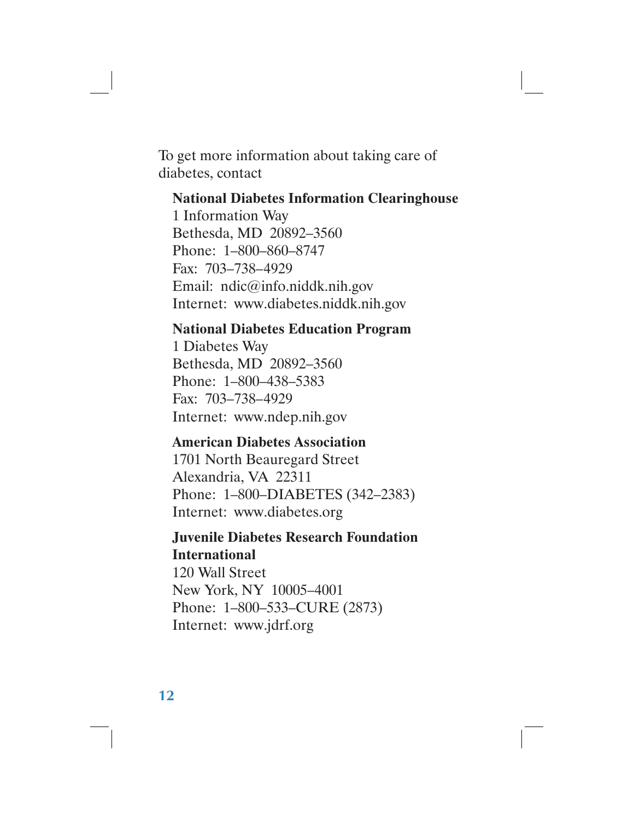To get more information about taking care of diabetes, contact

#### **National Diabetes Information Clearinghouse**

1 Information Way Bethesda, MD 20892–3560 Phone: 1–800–860–8747 Fax: 703–738– 4929 Email: ndic@info.niddk.nih.gov Internet: www.diabetes.niddk.nih.gov

#### **National Diabetes Education Program**

1 Diabetes Way Bethesda, MD 20892–3560 Phone: 1–800–438–5383 Fax: 703–738– 4929 Internet: www.ndep.nih.gov

#### **American Diabetes Association**

1701 North Beauregard Street Alexandria, VA 22311 Phone: 1–800–DIABETES (342–2383) Internet: www.diabetes.org

#### **Juvenile Diabetes Research Foundation International**

120 Wall Street New York, NY 10005–4001 Phone: 1–800–533–CURE (2873) Internet: www.jdrf.org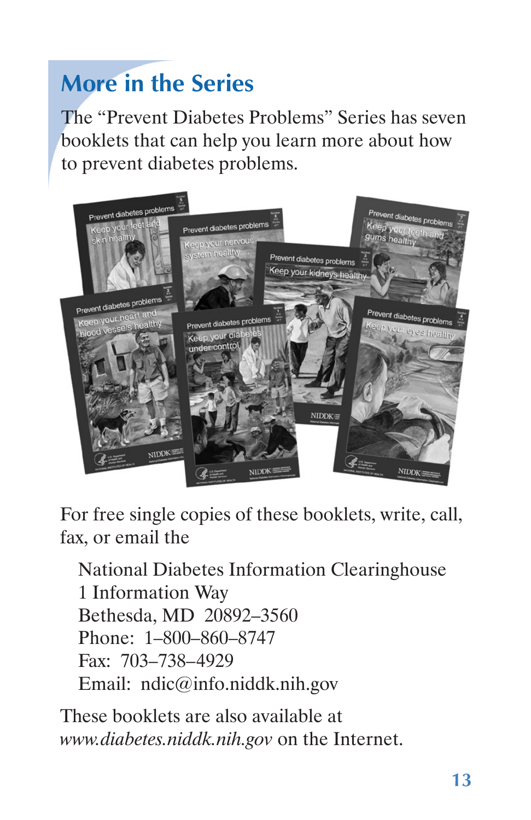## **More in the Series**

The "Prevent Diabetes Problems" Series has seven booklets that can help you learn more about how to prevent diabetes problems.



For free single copies of these booklets, write, call, fax, or email the

National Diabetes Information Clearinghouse 1 Information Way Bethesda, MD 20892–3560 Phone: 1–800–860–8747 Fax: 703–738–4929 Email: ndic@info.niddk.nih.gov

These booklets are also available at *www.diabetes.niddk.nih.gov* on the Internet.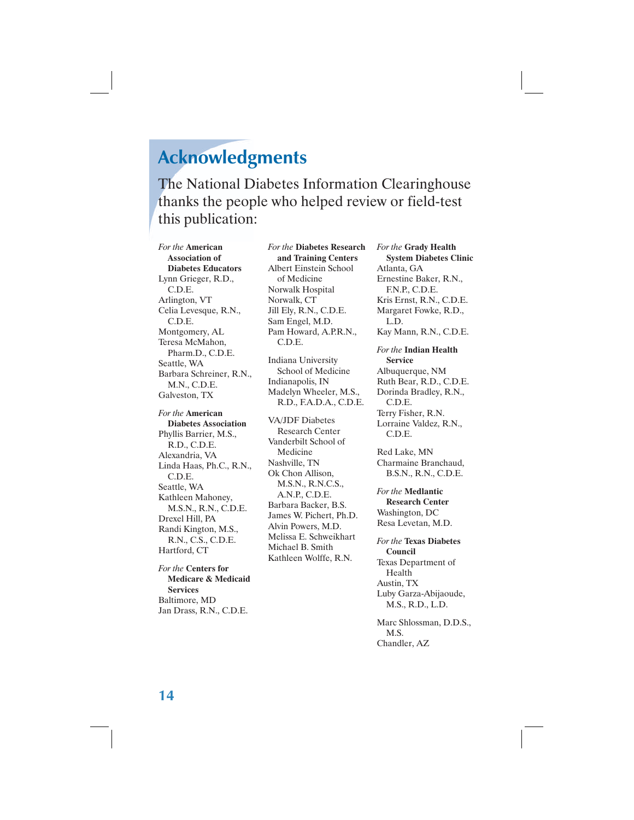#### <span id="page-17-0"></span>**Acknowledgments**

this publication: The National Diabetes Information Clearinghouse thanks the people who helped review or field-test

*For the* **American Association of Diabetes Educators**  Lynn Grieger, R.D., C.D.E. Arlington, VT Celia Levesque, R.N., C.D.E. Montgomery, AL Teresa McMahon, Pharm.D., C.D.E.

Seattle, WA Barbara Schreiner, R.N., M.N., C.D.E. Galveston, TX

*For the* **American Diabetes Association**  Phyllis Barrier, M.S., R.D., C.D.E. Alexandria, VA Linda Haas, Ph.C., R.N., C.D.E. Seattle, WA Kathleen Mahoney, M.S.N., R.N., C.D.E. Drexel Hill, PA Randi Kington, M.S., R.N., C.S., C.D.E. Hartford, CT

*For the* **Centers for Medicare & Medicaid Services**  Baltimore, MD Jan Drass, R.N., C.D.E.

*For the* **Diabetes Research and Training Centers**  Albert Einstein School of Medicine Norwalk Hospital Norwalk, CT Jill Ely, R.N., C.D.E. Sam Engel, M.D. Pam Howard, A.P.R.N., C.D.E.

Indiana University School of Medicine Indianapolis, IN Madelyn Wheeler, M.S., R.D., F.A.D.A., C.D.E.

VA/JDF Diabetes Research Center Vanderbilt School of Medicine Nashville, TN Ok Chon Allison, M.S.N., R.N.C.S., A.N.P., C.D.E. Barbara Backer, B.S. James W. Pichert, Ph.D. Alvin Powers, M.D. Melissa E. Schweikhart Michael B. Smith Kathleen Wolffe, R.N.

*For the* **Grady Health System Diabetes Clinic**  Atlanta, GA Ernestine Baker, R.N., F.N.P., C.D.E. Kris Ernst, R.N., C.D.E. Margaret Fowke, R.D., L.D. Kay Mann, R.N., C.D.E.

*For the* **Indian Health Service**  Albuquerque, NM Ruth Bear, R.D., C.D.E. Dorinda Bradley, R.N., C.D.E. Terry Fisher, R.N. Lorraine Valdez, R.N., C.D.E.

Red Lake, MN Charmaine Branchaud, B.S.N., R.N., C.D.E.

*For the* **Medlantic Research Center**  Washington, DC Resa Levetan, M.D.

*For the* **Texas Diabetes Council**  Texas Department of Health Austin, TX Luby Garza-Abijaoude, M.S., R.D., L.D.

Marc Shlossman, D.D.S., M.S. Chandler, AZ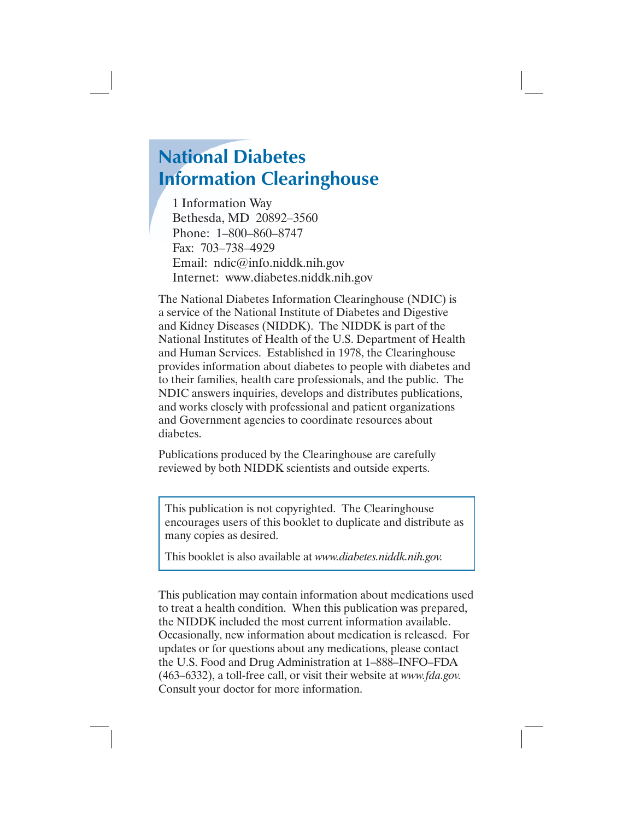#### **National Diabetes Information Clearinghouse**

1 Information Way Bethesda, MD 20892–3560 Phone: 1–800–860–8747 Fax: 703–738–4929 Email: ndic@info.niddk.nih.gov Internet: www.diabetes.niddk.nih.gov

The National Diabetes Information Clearinghouse (NDIC) is a service of the National Institute of Diabetes and Digestive and Kidney Diseases (NIDDK). The NIDDK is part of the National Institutes of Health of the U.S. Department of Health and Human Services. Established in 1978, the Clearinghouse provides information about diabetes to people with diabetes and to their families, health care professionals, and the public. The NDIC answers inquiries, develops and distributes publications, and works closely with professional and patient organizations and Government agencies to coordinate resources about diabetes.

Publications produced by the Clearinghouse are carefully reviewed by both NIDDK scientists and outside experts.

This publication is not copyrighted. The Clearinghouse encourages users of this booklet to duplicate and distribute as many copies as desired.

This booklet is also available at *www.diabetes.niddk.nih.gov.* 

This publication may contain information about medications used to treat a health condition. When this publication was prepared, the NIDDK included the most current information available. Occasionally, new information about medication is released. For updates or for questions about any medications, please contact the U.S. Food and Drug Administration at 1–888–INFO–FDA (463–6332), a toll-free call, or visit their website at *www.fda.gov.*  Consult your doctor for more information.